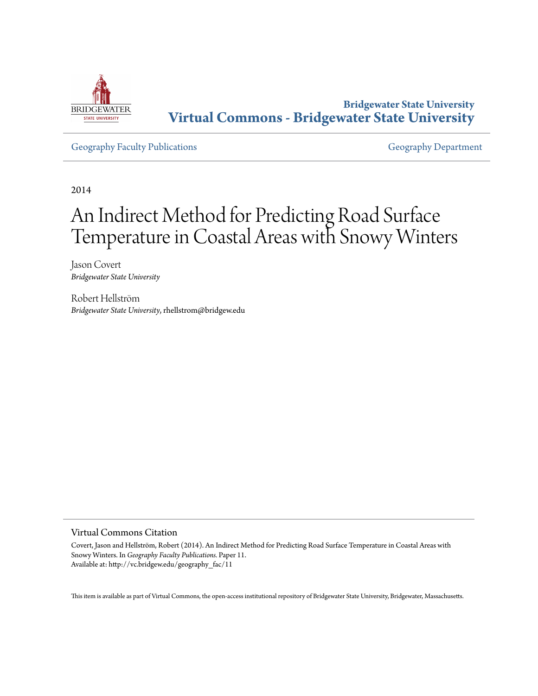

**Bridgewater State University [Virtual Commons - Bridgewater State University](http://vc.bridgew.edu)**

[Geography Faculty Publications](http://vc.bridgew.edu/geography_fac) [Geography Department](http://vc.bridgew.edu/geography)

2014

# An Indirect Method for Predicting Road Surface Temperature in Coastal Areas with Snowy Winters

Jason Covert *Bridgewater State University*

Robert Hellström *Bridgewater State University*, rhellstrom@bridgew.edu

# Virtual Commons Citation

Covert, Jason and Hellström, Robert (2014). An Indirect Method for Predicting Road Surface Temperature in Coastal Areas with Snowy Winters. In *Geography Faculty Publications.* Paper 11. Available at: http://vc.bridgew.edu/geography\_fac/11

This item is available as part of Virtual Commons, the open-access institutional repository of Bridgewater State University, Bridgewater, Massachusetts.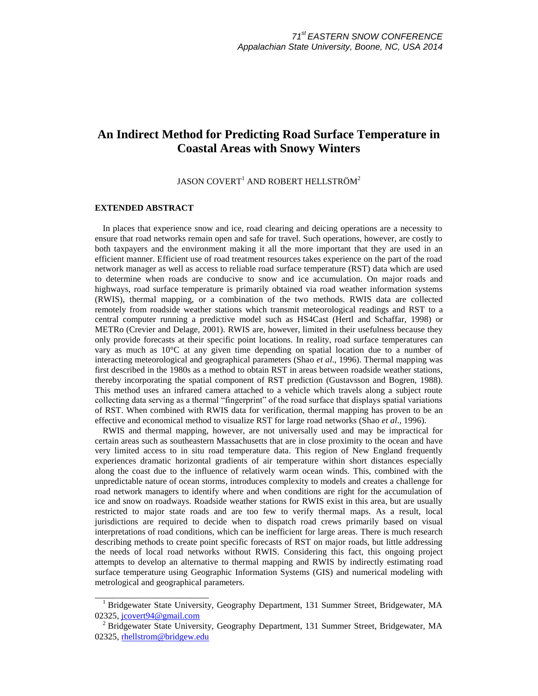# **An Indirect Method for Predicting Road Surface Temperature in Coastal Areas with Snowy Winters**

JASON COVERT<sup>1</sup> AND ROBERT HELLSTRÖM<sup>2</sup>

# **EXTENDED ABSTRACT**

\_\_\_\_\_\_\_\_\_\_\_\_\_\_\_\_\_\_\_\_\_\_\_\_\_\_

In places that experience snow and ice, road clearing and deicing operations are a necessity to ensure that road networks remain open and safe for travel. Such operations, however, are costly to both taxpayers and the environment making it all the more important that they are used in an efficient manner. Efficient use of road treatment resources takes experience on the part of the road network manager as well as access to reliable road surface temperature (RST) data which are used to determine when roads are conducive to snow and ice accumulation. On major roads and highways, road surface temperature is primarily obtained via road weather information systems (RWIS), thermal mapping, or a combination of the two methods. RWIS data are collected remotely from roadside weather stations which transmit meteorological readings and RST to a central computer running a predictive model such as HS4Cast (Hertl and Schaffar, 1998) or METRo (Crevier and Delage, 2001). RWIS are, however, limited in their usefulness because they only provide forecasts at their specific point locations. In reality, road surface temperatures can vary as much as  $10^{\circ}$ C at any given time depending on spatial location due to a number of interacting meteorological and geographical parameters (Shao *et al*., 1996). Thermal mapping was first described in the 1980s as a method to obtain RST in areas between roadside weather stations, thereby incorporating the spatial component of RST prediction (Gustavsson and Bogren, 1988). This method uses an infrared camera attached to a vehicle which travels along a subject route collecting data serving as a thermal "fingerprint" of the road surface that displays spatial variations of RST. When combined with RWIS data for verification, thermal mapping has proven to be an effective and economical method to visualize RST for large road networks (Shao *et al*., 1996).

RWIS and thermal mapping, however, are not universally used and may be impractical for certain areas such as southeastern Massachusetts that are in close proximity to the ocean and have very limited access to in situ road temperature data. This region of New England frequently experiences dramatic horizontal gradients of air temperature within short distances especially along the coast due to the influence of relatively warm ocean winds. This, combined with the unpredictable nature of ocean storms, introduces complexity to models and creates a challenge for road network managers to identify where and when conditions are right for the accumulation of ice and snow on roadways. Roadside weather stations for RWIS exist in this area, but are usually restricted to major state roads and are too few to verify thermal maps. As a result, local jurisdictions are required to decide when to dispatch road crews primarily based on visual interpretations of road conditions, which can be inefficient for large areas. There is much research describing methods to create point specific forecasts of RST on major roads, but little addressing the needs of local road networks without RWIS. Considering this fact, this ongoing project attempts to develop an alternative to thermal mapping and RWIS by indirectly estimating road surface temperature using Geographic Information Systems (GIS) and numerical modeling with metrological and geographical parameters.

<sup>&</sup>lt;sup>1</sup> Bridgewater State University, Geography Department, 131 Summer Street, Bridgewater, MA 02325, [jcovert94@gmail.com](mailto:jcovert94@gmail.com)

<sup>2</sup> Bridgewater State University, Geography Department, 131 Summer Street, Bridgewater, MA 02325, [rhellstrom@bridgew.edu](mailto:rhellstrom@bridgew.edu)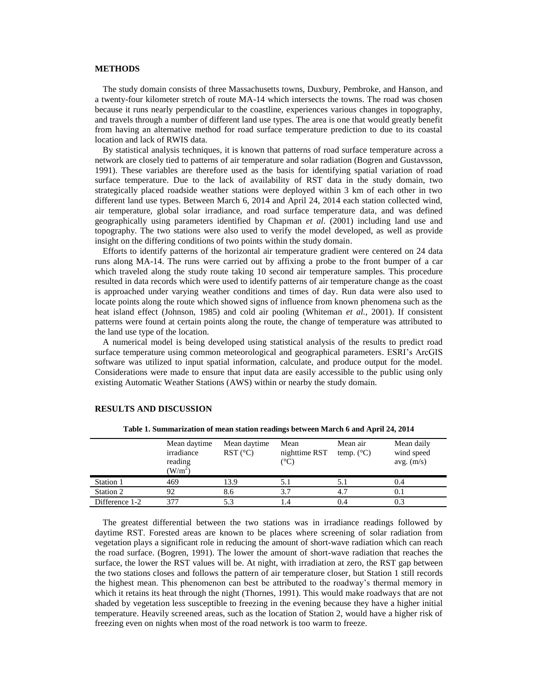### **METHODS**

The study domain consists of three Massachusetts towns, Duxbury, Pembroke, and Hanson, and a twenty-four kilometer stretch of route MA-14 which intersects the towns. The road was chosen because it runs nearly perpendicular to the coastline, experiences various changes in topography, and travels through a number of different land use types. The area is one that would greatly benefit from having an alternative method for road surface temperature prediction to due to its coastal location and lack of RWIS data.

By statistical analysis techniques, it is known that patterns of road surface temperature across a network are closely tied to patterns of air temperature and solar radiation (Bogren and Gustavsson, 1991). These variables are therefore used as the basis for identifying spatial variation of road surface temperature. Due to the lack of availability of RST data in the study domain, two strategically placed roadside weather stations were deployed within 3 km of each other in two different land use types. Between March 6, 2014 and April 24, 2014 each station collected wind, air temperature, global solar irradiance, and road surface temperature data, and was defined geographically using parameters identified by Chapman *et al*. (2001) including land use and topography. The two stations were also used to verify the model developed, as well as provide insight on the differing conditions of two points within the study domain.

Efforts to identify patterns of the horizontal air temperature gradient were centered on 24 data runs along MA-14. The runs were carried out by affixing a probe to the front bumper of a car which traveled along the study route taking 10 second air temperature samples. This procedure resulted in data records which were used to identify patterns of air temperature change as the coast is approached under varying weather conditions and times of day. Run data were also used to locate points along the route which showed signs of influence from known phenomena such as the heat island effect (Johnson, 1985) and cold air pooling (Whiteman *et al.*, 2001). If consistent patterns were found at certain points along the route, the change of temperature was attributed to the land use type of the location.

A numerical model is being developed using statistical analysis of the results to predict road surface temperature using common meteorological and geographical parameters. ESRI's ArcGIS software was utilized to input spatial information, calculate, and produce output for the model. Considerations were made to ensure that input data are easily accessible to the public using only existing Automatic Weather Stations (AWS) within or nearby the study domain.

|                | Mean daytime<br>irradiance<br>reading<br>(W/m <sup>2</sup> ) | Mean daytime<br>$RST$ ( $^{\circ}$ C) | Mean<br>nighttime RST<br>(°C) | Mean air<br>temp. $(^{\circ}C)$ | Mean daily<br>wind speed<br>avg. $(m/s)$ |
|----------------|--------------------------------------------------------------|---------------------------------------|-------------------------------|---------------------------------|------------------------------------------|
| Station 1      | 469                                                          | 13.9                                  | 5.1                           | 5. I                            | 0.4                                      |
| Station 2      | 92                                                           | 8.6                                   | 3.7                           | 4.7                             | 0.1                                      |
| Difference 1-2 |                                                              | 5.3                                   |                               | 0.4                             | 0.3                                      |

#### **RESULTS AND DISCUSSION**

**Table 1. Summarization of mean station readings between March 6 and April 24, 2014**

The greatest differential between the two stations was in irradiance readings followed by daytime RST. Forested areas are known to be places where screening of solar radiation from vegetation plays a significant role in reducing the amount of short-wave radiation which can reach the road surface. (Bogren, 1991). The lower the amount of short-wave radiation that reaches the surface, the lower the RST values will be. At night, with irradiation at zero, the RST gap between the two stations closes and follows the pattern of air temperature closer, but Station 1 still records the highest mean. This phenomenon can best be attributed to the roadway's thermal memory in which it retains its heat through the night (Thornes, 1991). This would make roadways that are not shaded by vegetation less susceptible to freezing in the evening because they have a higher initial temperature. Heavily screened areas, such as the location of Station 2, would have a higher risk of freezing even on nights when most of the road network is too warm to freeze.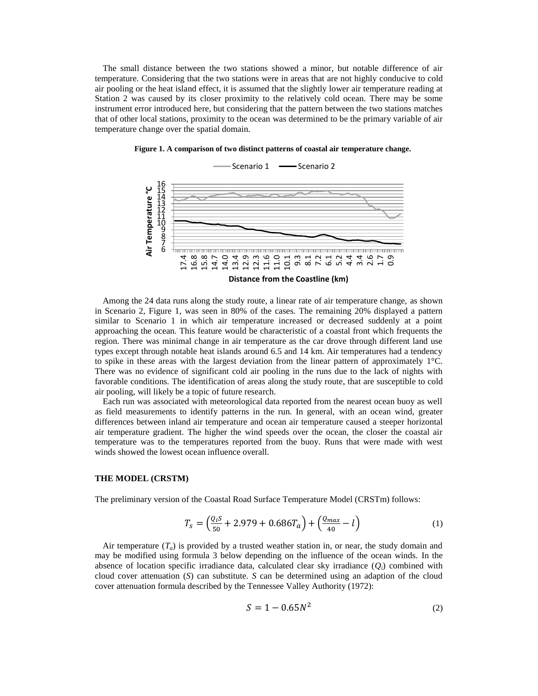The small distance between the two stations showed a minor, but notable difference of air temperature. Considering that the two stations were in areas that are not highly conducive to cold air pooling or the heat island effect, it is assumed that the slightly lower air temperature reading at Station 2 was caused by its closer proximity to the relatively cold ocean. There may be some instrument error introduced here, but considering that the pattern between the two stations matches that of other local stations, proximity to the ocean was determined to be the primary variable of air temperature change over the spatial domain.



**Figure 1. A comparison of two distinct patterns of coastal air temperature change.**

Among the 24 data runs along the study route, a linear rate of air temperature change, as shown in Scenario 2, Figure 1, was seen in 80% of the cases. The remaining 20% displayed a pattern similar to Scenario 1 in which air temperature increased or decreased suddenly at a point approaching the ocean. This feature would be characteristic of a coastal front which frequents the region. There was minimal change in air temperature as the car drove through different land use types except through notable heat islands around 6.5 and 14 km. Air temperatures had a tendency to spike in these areas with the largest deviation from the linear pattern of approximately  $1^{\circ}$ C. There was no evidence of significant cold air pooling in the runs due to the lack of nights with favorable conditions. The identification of areas along the study route, that are susceptible to cold air pooling, will likely be a topic of future research.

Each run was associated with meteorological data reported from the nearest ocean buoy as well as field measurements to identify patterns in the run. In general, with an ocean wind, greater differences between inland air temperature and ocean air temperature caused a steeper horizontal air temperature gradient. The higher the wind speeds over the ocean, the closer the coastal air temperature was to the temperatures reported from the buoy. Runs that were made with west winds showed the lowest ocean influence overall.

# **THE MODEL (CRSTM)**

The preliminary version of the Coastal Road Surface Temperature Model (CRSTm) follows:

$$
T_s = \left(\frac{Q_i S}{50} + 2.979 + 0.686 T_a\right) + \left(\frac{Q_{max}}{40} - l\right)
$$
 (1)

Air temperature  $(T_a)$  is provided by a trusted weather station in, or near, the study domain and may be modified using formula 3 below depending on the influence of the ocean winds. In the absence of location specific irradiance data, calculated clear sky irradiance  $(O_i)$  combined with cloud cover attenuation (*S*) can substitute. *S* can be determined using an adaption of the cloud cover attenuation formula described by the Tennessee Valley Authority (1972):

$$
S = 1 - 0.65N^2
$$
 (2)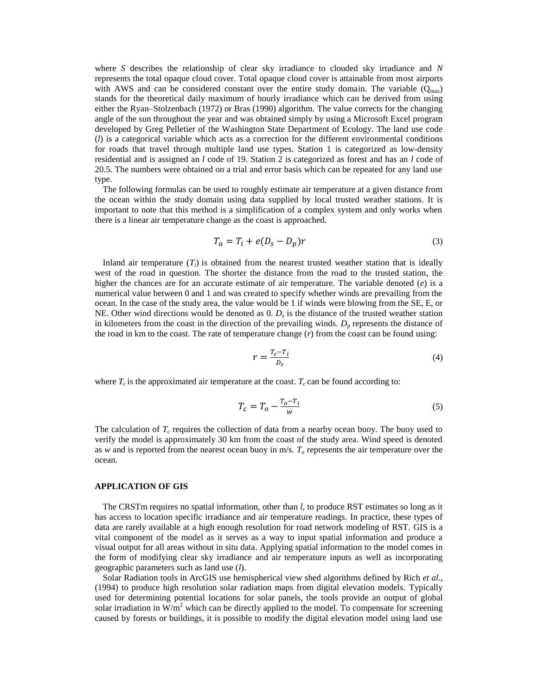where *S* describes the relationship of clear sky irradiance to clouded sky irradiance and *N* represents the total opaque cloud cover. Total opaque cloud cover is attainable from most airports with AWS and can be considered constant over the entire study domain. The variable  $(Q<sub>max</sub>)$ stands for the theoretical daily maximum of hourly irradiance which can be derived from using either the Ryan–Stolzenbach (1972) or Bras (1990) algorithm. The value corrects for the changing angle of the sun throughout the year and was obtained simply by using a Microsoft Excel program developed by Greg Pelletier of the Washington State Department of Ecology. The land use code (*l*) is a categorical variable which acts as a correction for the different environmental conditions for roads that travel through multiple land use types. Station 1 is categorized as low-density residential and is assigned an *l* code of 19. Station 2 is categorized as forest and has an *l* code of 20.5. The numbers were obtained on a trial and error basis which can be repeated for any land use type.

The following formulas can be used to roughly estimate air temperature at a given distance from the ocean within the study domain using data supplied by local trusted weather stations. It is important to note that this method is a simplification of a complex system and only works when there is a linear air temperature change as the coast is approached.

$$
T_a = T_i + e(D_s - D_p)r
$$
\n<sup>(3)</sup>

Inland air temperature  $(T_i)$  is obtained from the nearest trusted weather station that is ideally west of the road in question. The shorter the distance from the road to the trusted station, the higher the chances are for an accurate estimate of air temperature. The variable denoted (*e*) is a numerical value between 0 and 1 and was created to specify whether winds are prevailing from the ocean. In the case of the study area, the value would be 1 if winds were blowing from the SE, E, or NE. Other wind directions would be denoted as 0. *D<sup>s</sup>* is the distance of the trusted weather station in kilometers from the coast in the direction of the prevailing winds.  $D_p$  represents the distance of the road in km to the coast. The rate of temperature change  $(r)$  from the coast can be found using:

$$
r = \frac{T_c - T_i}{D_S} \tag{4}
$$

where  $T_c$  is the approximated air temperature at the coast.  $T_c$  can be found according to:

$$
T_c = T_o - \frac{T_o - T_i}{w} \tag{5}
$$

The calculation of  $T_c$  requires the collection of data from a nearby ocean buoy. The buoy used to verify the model is approximately 30 km from the coast of the study area. Wind speed is denoted as *w* and is reported from the nearest ocean buoy in m/s. *T<sup>o</sup>* represents the air temperature over the ocean.

# **APPLICATION OF GIS**

The CRSTm requires no spatial information, other than *l,* to produce RST estimates so long as it has access to location specific irradiance and air temperature readings. In practice, these types of data are rarely available at a high enough resolution for road network modeling of RST. GIS is a vital component of the model as it serves as a way to input spatial information and produce a visual output for all areas without in situ data. Applying spatial information to the model comes in the form of modifying clear sky irradiance and air temperature inputs as well as incorporating geographic parameters such as land use (*l*).

Solar Radiation tools in ArcGIS use hemispherical view shed algorithms defined by Rich *et al*., (1994) to produce high resolution solar radiation maps from digital elevation models. Typically used for determining potential locations for solar panels, the tools provide an output of global solar irradiation in  $W/m^2$  which can be directly applied to the model. To compensate for screening caused by forests or buildings, it is possible to modify the digital elevation model using land use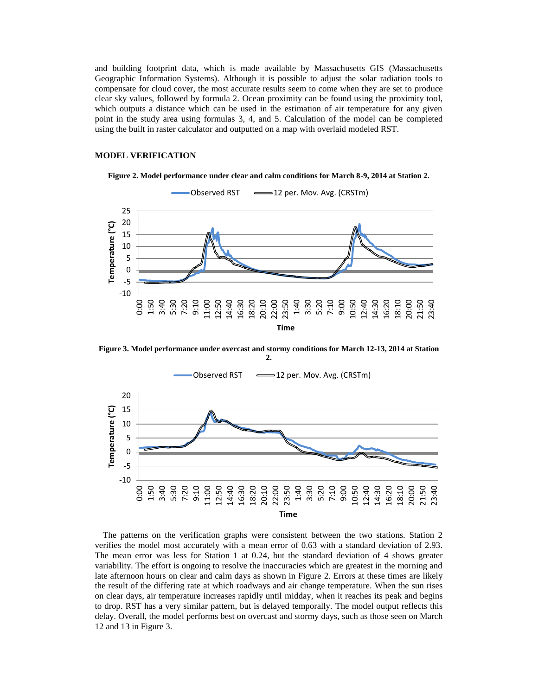and building footprint data, which is made available by Massachusetts GIS (Massachusetts Geographic Information Systems). Although it is possible to adjust the solar radiation tools to compensate for cloud cover, the most accurate results seem to come when they are set to produce clear sky values, followed by formula 2. Ocean proximity can be found using the proximity tool, which outputs a distance which can be used in the estimation of air temperature for any given point in the study area using formulas 3, 4, and 5. Calculation of the model can be completed using the built in raster calculator and outputted on a map with overlaid modeled RST.

## **MODEL VERIFICATION**

**Figure 2. Model performance under clear and calm conditions for March 8-9, 2014 at Station 2.**



**Figure 3. Model performance under overcast and stormy conditions for March 12-13, 2014 at Station 2.**



The patterns on the verification graphs were consistent between the two stations. Station 2 verifies the model most accurately with a mean error of 0.63 with a standard deviation of 2.93. The mean error was less for Station 1 at 0.24, but the standard deviation of 4 shows greater variability. The effort is ongoing to resolve the inaccuracies which are greatest in the morning and late afternoon hours on clear and calm days as shown in Figure 2. Errors at these times are likely the result of the differing rate at which roadways and air change temperature. When the sun rises on clear days, air temperature increases rapidly until midday, when it reaches its peak and begins to drop. RST has a very similar pattern, but is delayed temporally. The model output reflects this delay. Overall, the model performs best on overcast and stormy days, such as those seen on March 12 and 13 in Figure 3.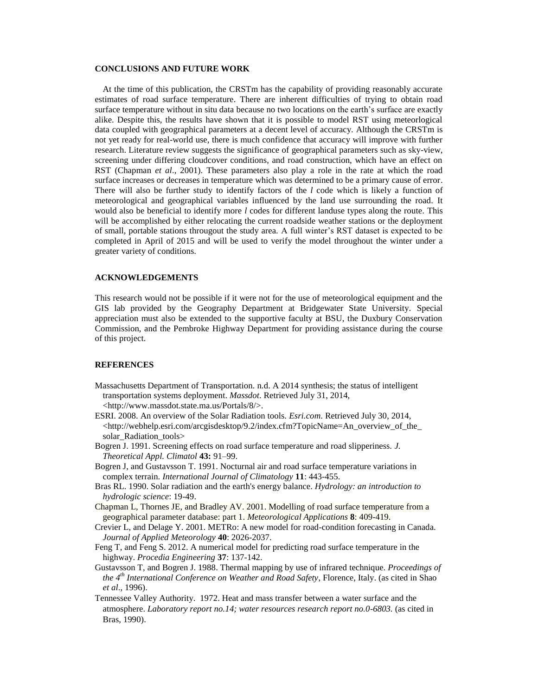#### **CONCLUSIONS AND FUTURE WORK**

At the time of this publication, the CRSTm has the capability of providing reasonably accurate estimates of road surface temperature. There are inherent difficulties of trying to obtain road surface temperature without in situ data because no two locations on the earth's surface are exactly alike. Despite this, the results have shown that it is possible to model RST using meteorlogical data coupled with geographical parameters at a decent level of accuracy. Although the CRSTm is not yet ready for real-world use, there is much confidence that accuracy will improve with further research. Literature review suggests the significance of geographical parameters such as sky-view, screening under differing cloudcover conditions, and road construction, which have an effect on RST (Chapman *et al*., 2001). These parameters also play a role in the rate at which the road surface increases or decreases in temperature which was determined to be a primary cause of error. There will also be further study to identify factors of the *l* code which is likely a function of meteorological and geographical variables influenced by the land use surrounding the road. It would also be beneficial to identify more *l* codes for different landuse types along the route. This will be accomplished by either relocating the current roadside weather stations or the deployment of small, portable stations througout the study area. A full winter's RST dataset is expected to be completed in April of 2015 and will be used to verify the model throughout the winter under a greater variety of conditions.

### **ACKNOWLEDGEMENTS**

This research would not be possible if it were not for the use of meteorological equipment and the GIS lab provided by the Geography Department at Bridgewater State University. Special appreciation must also be extended to the supportive faculty at BSU, the Duxbury Conservation Commission, and the Pembroke Highway Department for providing assistance during the course of this project.

### **REFERENCES**

- Massachusetts Department of Transportation. n.d. A 2014 synthesis; the status of intelligent transportation systems deployment. *Massdot*. Retrieved July 31, 2014, <http://www.massdot.state.ma.us/Portals/8/>.
- ESRI. 2008. An overview of the Solar Radiation tools. *Esri.com*. Retrieved July 30, 2014,  $\langle$ http://webhelp.esri.com/arcgisdesktop/9.2/index.cfm?TopicName=An\_overview\_of\_the\_ solar\_Radiation\_tools>
- Bogren J. 1991. Screening effects on road surface temperature and road slipperiness. *J. Theoretical Appl. Climatol* **43:** 91–99.
- Bogren J, and Gustavsson T. 1991. Nocturnal air and road surface temperature variations in complex terrain. *International Journal of Climatology* **11**: 443-455.
- Bras RL. 1990. Solar radiation and the earth's energy balance. *Hydrology: an introduction to hydrologic science*: 19-49.
- Chapman L, Thornes JE, and Bradley AV. 2001. Modelling of road surface temperature from a geographical parameter database: part 1. *Meteorological Applications* **8**: 409-419.
- Crevier L, and Delage Y. 2001. METRo: A new model for road-condition forecasting in Canada. *Journal of Applied Meteorology* **40**: 2026-2037.
- Feng T, and Feng S. 2012. A numerical model for predicting road surface temperature in the highway. *Procedia Engineering* **37**: 137-142.
- Gustavsson T, and Bogren J. 1988. Thermal mapping by use of infrared technique. *Proceedings of the 4th International Conference on Weather and Road Safety*, Florence, Italy. (as cited in Shao *et al*., 1996).
- Tennessee Valley Authority. 1972. Heat and mass transfer between a water surface and the atmosphere. *Laboratory report no.14; water resources research report no.0-6803.* (as cited in Bras, 1990).